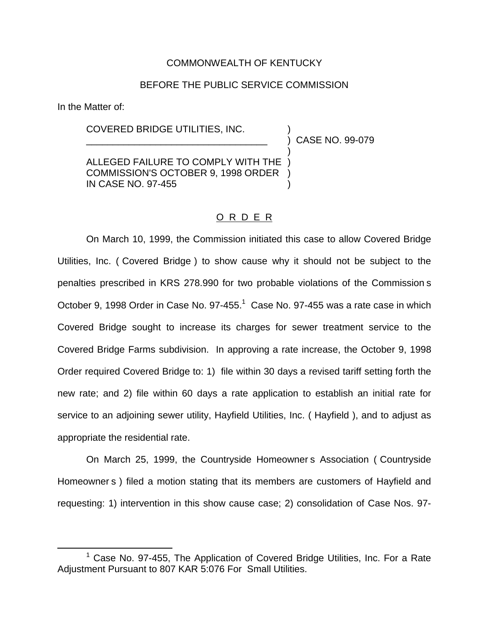#### COMMONWEALTH OF KENTUCKY

#### BEFORE THE PUBLIC SERVICE COMMISSION

In the Matter of:

COVERED BRIDGE UTILITIES, INC. )

\_\_\_\_\_\_\_\_\_\_\_\_\_\_\_\_\_\_\_\_\_\_\_\_\_\_\_\_\_\_\_\_\_\_ ) CASE NO. 99-079

)

ALLEGED FAILURE TO COMPLY WITH THE ) COMMISSION'S OCTOBER 9, 1998 ORDER ) IN CASE NO. 97-455 )

### O R D E R

On March 10, 1999, the Commission initiated this case to allow Covered Bridge Utilities, Inc. ( Covered Bridge ) to show cause why it should not be subject to the penalties prescribed in KRS 278.990 for two probable violations of the Commission s October 9, 1998 Order in Case No. 97-455.<sup>1</sup> Case No. 97-455 was a rate case in which Covered Bridge sought to increase its charges for sewer treatment service to the Covered Bridge Farms subdivision. In approving a rate increase, the October 9, 1998 Order required Covered Bridge to: 1) file within 30 days a revised tariff setting forth the new rate; and 2) file within 60 days a rate application to establish an initial rate for service to an adjoining sewer utility, Hayfield Utilities, Inc. ( Hayfield ), and to adjust as appropriate the residential rate.

On March 25, 1999, the Countryside Homeowner s Association ( Countryside Homeowner s ) filed a motion stating that its members are customers of Hayfield and requesting: 1) intervention in this show cause case; 2) consolidation of Case Nos. 97-

 $1$  Case No. 97-455, The Application of Covered Bridge Utilities, Inc. For a Rate Adjustment Pursuant to 807 KAR 5:076 For Small Utilities.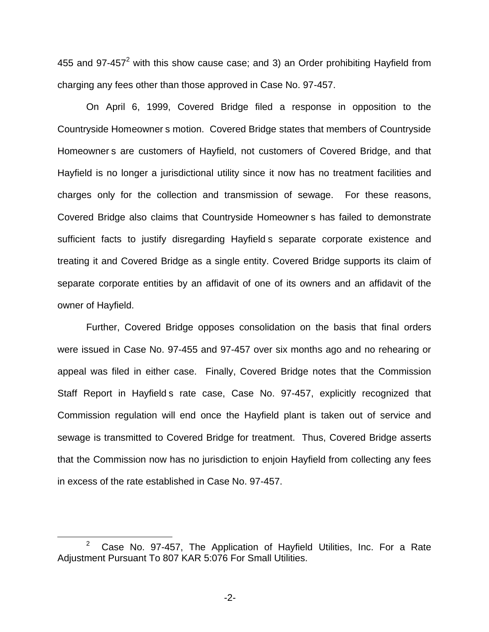455 and  $97-457<sup>2</sup>$  with this show cause case; and 3) an Order prohibiting Hayfield from charging any fees other than those approved in Case No. 97-457.

On April 6, 1999, Covered Bridge filed a response in opposition to the Countryside Homeowner s motion. Covered Bridge states that members of Countryside Homeowner s are customers of Hayfield, not customers of Covered Bridge, and that Hayfield is no longer a jurisdictional utility since it now has no treatment facilities and charges only for the collection and transmission of sewage. For these reasons, Covered Bridge also claims that Countryside Homeowner s has failed to demonstrate sufficient facts to justify disregarding Hayfield s separate corporate existence and treating it and Covered Bridge as a single entity. Covered Bridge supports its claim of separate corporate entities by an affidavit of one of its owners and an affidavit of the owner of Hayfield.

Further, Covered Bridge opposes consolidation on the basis that final orders were issued in Case No. 97-455 and 97-457 over six months ago and no rehearing or appeal was filed in either case. Finally, Covered Bridge notes that the Commission Staff Report in Hayfield s rate case, Case No. 97-457, explicitly recognized that Commission regulation will end once the Hayfield plant is taken out of service and sewage is transmitted to Covered Bridge for treatment. Thus, Covered Bridge asserts that the Commission now has no jurisdiction to enjoin Hayfield from collecting any fees in excess of the rate established in Case No. 97-457.

-2-

 $2$  Case No. 97-457, The Application of Hayfield Utilities, Inc. For a Rate Adjustment Pursuant To 807 KAR 5:076 For Small Utilities.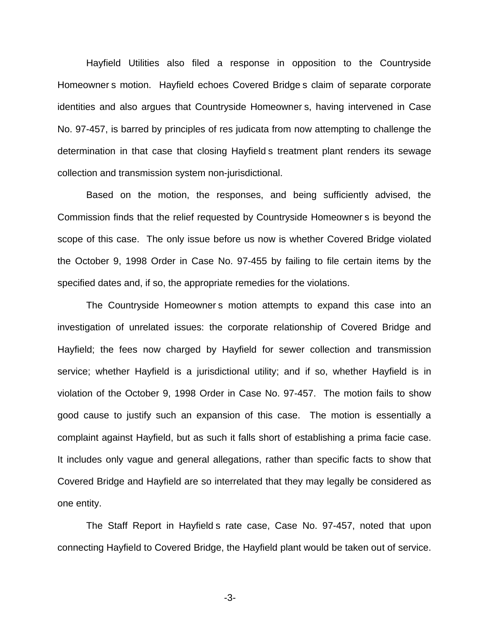Hayfield Utilities also filed a response in opposition to the Countryside Homeowner s motion. Hayfield echoes Covered Bridge s claim of separate corporate identities and also argues that Countryside Homeowner s, having intervened in Case No. 97-457, is barred by principles of res judicata from now attempting to challenge the determination in that case that closing Hayfield s treatment plant renders its sewage collection and transmission system non-jurisdictional.

Based on the motion, the responses, and being sufficiently advised, the Commission finds that the relief requested by Countryside Homeowner s is beyond the scope of this case. The only issue before us now is whether Covered Bridge violated the October 9, 1998 Order in Case No. 97-455 by failing to file certain items by the specified dates and, if so, the appropriate remedies for the violations.

The Countryside Homeowner s motion attempts to expand this case into an investigation of unrelated issues: the corporate relationship of Covered Bridge and Hayfield; the fees now charged by Hayfield for sewer collection and transmission service; whether Hayfield is a jurisdictional utility; and if so, whether Hayfield is in violation of the October 9, 1998 Order in Case No. 97-457. The motion fails to show good cause to justify such an expansion of this case. The motion is essentially a complaint against Hayfield, but as such it falls short of establishing a prima facie case. It includes only vague and general allegations, rather than specific facts to show that Covered Bridge and Hayfield are so interrelated that they may legally be considered as one entity.

The Staff Report in Hayfield s rate case, Case No. 97-457, noted that upon connecting Hayfield to Covered Bridge, the Hayfield plant would be taken out of service.

-3-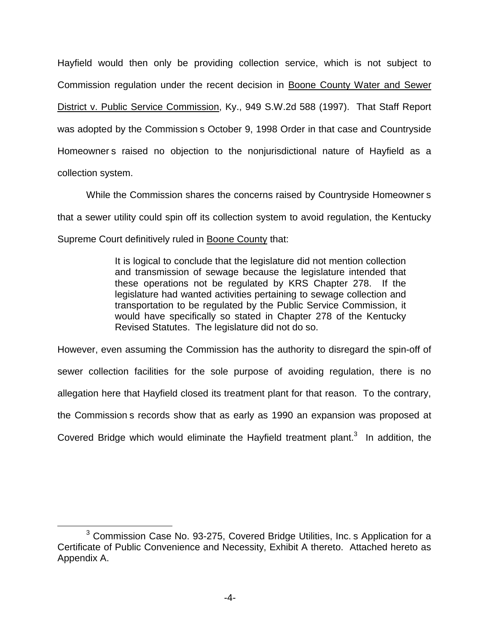Hayfield would then only be providing collection service, which is not subject to Commission regulation under the recent decision in Boone County Water and Sewer District v. Public Service Commission, Ky., 949 S.W.2d 588 (1997). That Staff Report was adopted by the Commission s October 9, 1998 Order in that case and Countryside Homeowner s raised no objection to the nonjurisdictional nature of Hayfield as a collection system.

While the Commission shares the concerns raised by Countryside Homeowner s that a sewer utility could spin off its collection system to avoid regulation, the Kentucky Supreme Court definitively ruled in **Boone County that:** 

> It is logical to conclude that the legislature did not mention collection and transmission of sewage because the legislature intended that these operations not be regulated by KRS Chapter 278. If the legislature had wanted activities pertaining to sewage collection and transportation to be regulated by the Public Service Commission, it would have specifically so stated in Chapter 278 of the Kentucky Revised Statutes. The legislature did not do so.

However, even assuming the Commission has the authority to disregard the spin-off of sewer collection facilities for the sole purpose of avoiding regulation, there is no allegation here that Hayfield closed its treatment plant for that reason. To the contrary, the Commission s records show that as early as 1990 an expansion was proposed at Covered Bridge which would eliminate the Hayfield treatment plant.<sup>3</sup> In addition, the

<sup>&</sup>lt;sup>3</sup> Commission Case No. 93-275, Covered Bridge Utilities, Inc. s Application for a Certificate of Public Convenience and Necessity, Exhibit A thereto. Attached hereto as Appendix A.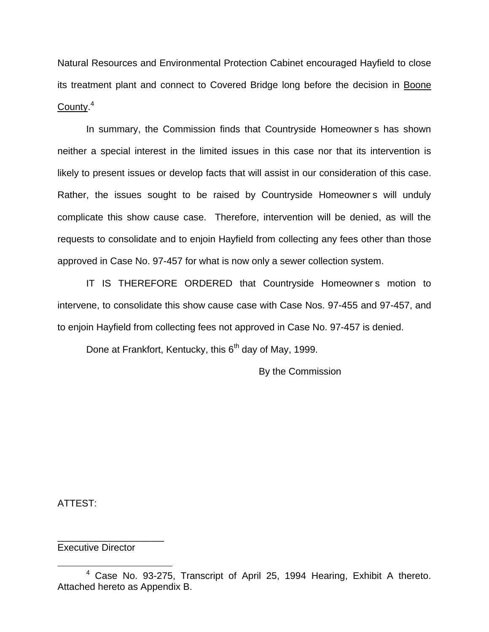Natural Resources and Environmental Protection Cabinet encouraged Hayfield to close its treatment plant and connect to Covered Bridge long before the decision in Boone County.<sup>4</sup>

In summary, the Commission finds that Countryside Homeowner s has shown neither a special interest in the limited issues in this case nor that its intervention is likely to present issues or develop facts that will assist in our consideration of this case. Rather, the issues sought to be raised by Countryside Homeowner s will unduly complicate this show cause case. Therefore, intervention will be denied, as will the requests to consolidate and to enjoin Hayfield from collecting any fees other than those approved in Case No. 97-457 for what is now only a sewer collection system.

IT IS THEREFORE ORDERED that Countryside Homeowner s motion to intervene, to consolidate this show cause case with Case Nos. 97-455 and 97-457, and to enjoin Hayfield from collecting fees not approved in Case No. 97-457 is denied.

Done at Frankfort, Kentucky, this 6<sup>th</sup> day of May, 1999.

By the Commission

ATTEST:

Executive Director

\_\_\_\_\_\_\_\_\_\_\_\_\_\_\_\_\_\_\_\_

<sup>4</sup> Case No. 93-275, Transcript of April 25, 1994 Hearing, Exhibit A thereto. Attached hereto as Appendix B.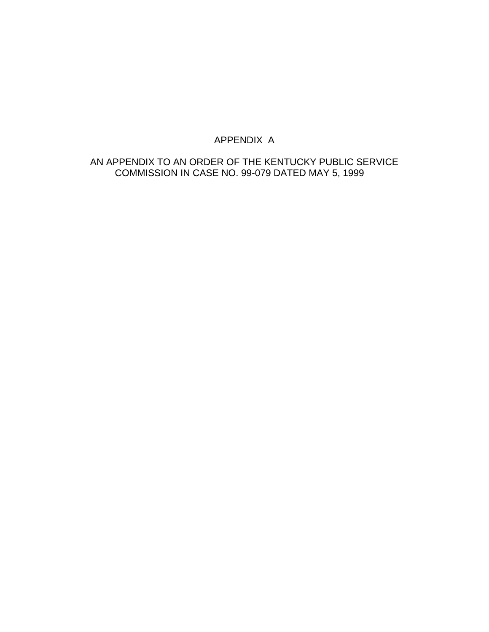## APPENDIX A

## AN APPENDIX TO AN ORDER OF THE KENTUCKY PUBLIC SERVICE COMMISSION IN CASE NO. 99-079 DATED MAY 5, 1999